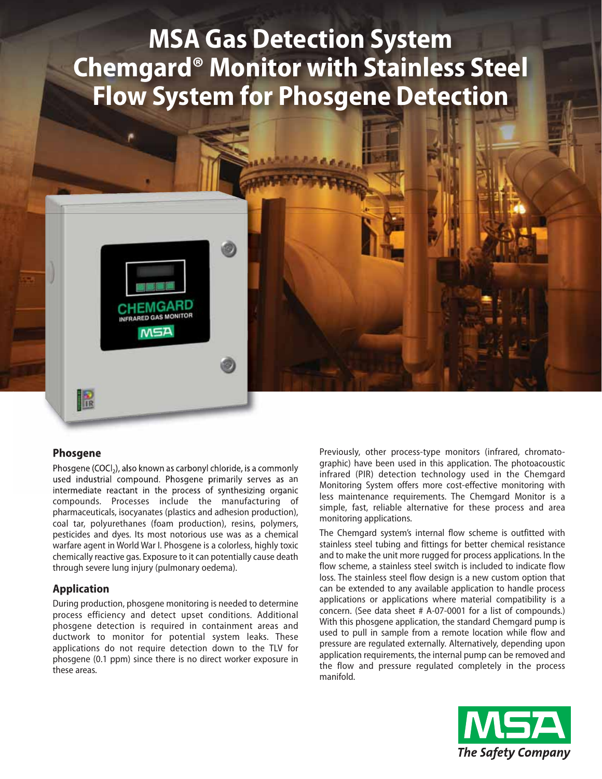# **MSA Gas Detection System Chemgard® Monitor with Stainless Steel Flow System for Phosgene Detection**



#### **Phosgene**

R

Phosgene (COCl<sub>2</sub>), also known as carbonyl chloride, is a commonly used industrial compound. Phosgene primarily serves as an intermediate reactant in the process of synthesizing organic compounds. Processes include the manufacturing of pharmaceuticals, isocyanates (plastics and adhesion production), coal tar, polyurethanes (foam production), resins, polymers, pesticides and dyes. Its most notorious use was as a chemical warfare agent in World War I. Phosgene is a colorless, highly toxic chemically reactive gas. Exposure to it can potentially cause death through severe lung injury (pulmonary oedema).

#### **Application**

During production, phosgene monitoring is needed to determine process efficiency and detect upset conditions. Additional phosgene detection is required in containment areas and ductwork to monitor for potential system leaks. These applications do not require detection down to the TLV for phosgene (0.1 ppm) since there is no direct worker exposure in these areas.

Previously, other process-type monitors (infrared, chromatographic) have been used in this application. The photoacoustic infrared (PIR) detection technology used in the Chemgard Monitoring System offers more cost-effective monitoring with less maintenance requirements. The Chemgard Monitor is a simple, fast, reliable alternative for these process and area monitoring applications.

The Chemgard system's internal flow scheme is outfitted with stainless steel tubing and fittings for better chemical resistance and to make the unit more rugged for process applications. In the flow scheme, a stainless steel switch is included to indicate flow loss. The stainless steel flow design is a new custom option that can be extended to any available application to handle process applications or applications where material compatibility is a concern. (See data sheet # A-07-0001 for a list of compounds.) With this phosgene application, the standard Chemgard pump is used to pull in sample from a remote location while flow and pressure are regulated externally. Alternatively, depending upon application requirements, the internal pump can be removed and the flow and pressure regulated completely in the process manifold.